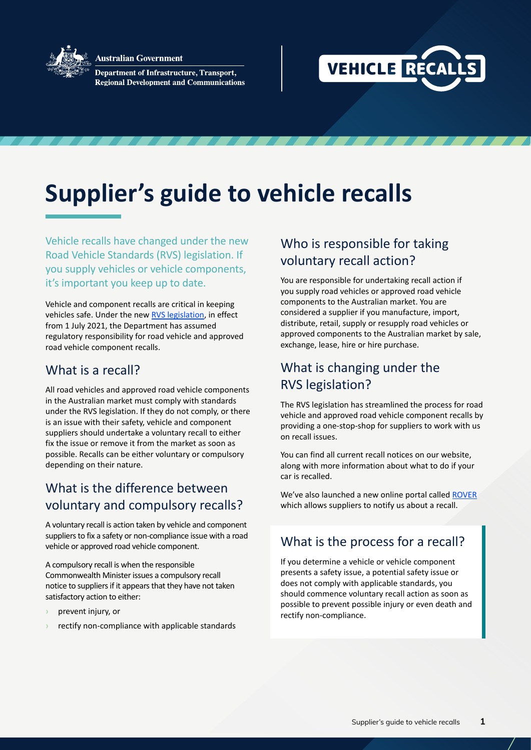

**Australian Government** 

**Department of Infrastructure, Transport, Regional Development and Communications** 



## **Supplier's guide to vehicle recalls**

Vehicle recalls have changed under the new Road Vehicle Standards (RVS) legislation. If you supply vehicles or vehicle components, it's important you keep up to date.

Vehicle and component recalls are critical in keeping vehicles safe. Under the new [RVS legislation](https://www.infrastructure.gov.au/vehicles/rvs/), in effect from 1 July 2021, the Department has assumed regulatory responsibility for road vehicle and approved road vehicle component recalls.

#### What is a recall?

All road vehicles and approved road vehicle components in the Australian market must comply with standards under the RVS legislation. If they do not comply, or there is an issue with their safety, vehicle and component suppliers should undertake a voluntary recall to either fix the issue or remove it from the market as soon as possible. Recalls can be either voluntary or compulsory depending on their nature.

#### What is the difference between voluntary and compulsory recalls?

A voluntary recall is action taken by vehicle and component suppliers to fix a safety or non-compliance issue with a road vehicle or approved road vehicle component.

A compulsory recall is when the responsible Commonwealth Minister issues a compulsory recall notice to suppliers if it appears that they have not taken satisfactory action to either:

- **›** prevent injury, or
- **›** rectify non-compliance with applicable standards

### Who is responsible for taking voluntary recall action?

You are responsible for undertaking recall action if you supply road vehicles or approved road vehicle components to the Australian market. You are considered a supplier if you manufacture, import, distribute, retail, supply or resupply road vehicles or approved components to the Australian market by sale, exchange, lease, hire or hire purchase.

### What is changing under the RVS legislation?

The RVS legislation has streamlined the process for road vehicle and approved road vehicle component recalls by providing a one-stop-shop for suppliers to work with us on recall issues.

You can find all current recall notices on our website, along with more information about what to do if your car is recalled.

We've also launched a new online portal called [ROVER](https://rover.infrastructure.gov.au/Produce/wizard/2023aae4-30a7-4d15-8ff7-cda459a6c0dd) which allows suppliers to notify us about a recall.

#### What is the process for a recall?

If you determine a vehicle or vehicle component presents a safety issue, a potential safety issue or does not comply with applicable standards, you should commence voluntary recall action as soon as possible to prevent possible injury or even death and rectify non-compliance.